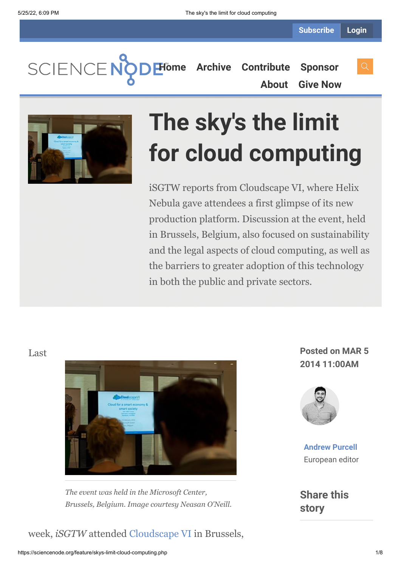SCIENCENO **[Home](https://sciencenode.org/) [Archive](https://sciencenode.org/archive/index.php) [Contribute](https://sciencenode.org/contribute/index.php) [Sponsor](https://sciencenode.org/sponsor/index.php)**

**[About](https://sciencenode.org/about/index.php) [Give Now](https://sciencenode.org/donate/index.php)**



# **The sky's the limit for cloud computing**

iSGTW reports from Cloudscape VI, where Helix Nebula gave attendees a first glimpse of its new production platform. Discussion at the event, held in Brussels, Belgium, also focused on sustainability and the legal aspects of cloud computing, as well as the barriers to greater adoption of this technology in both the public and private sectors.

### Last



*The event was held in the Microsoft Center, Brussels, Belgium. Image courtesy Neasan O'Neill.*

### week, *iSGTW* attended [Cloudscape VI](http://www.cloudscapeseries.eu/Pages/Home.aspx) in Brussels,

**Posted on MAR 5 2014 11:00AM**



**[Andrew Purcell](https://sciencenode.org/author/andrew-purcell.php)** European editor

**Share this story**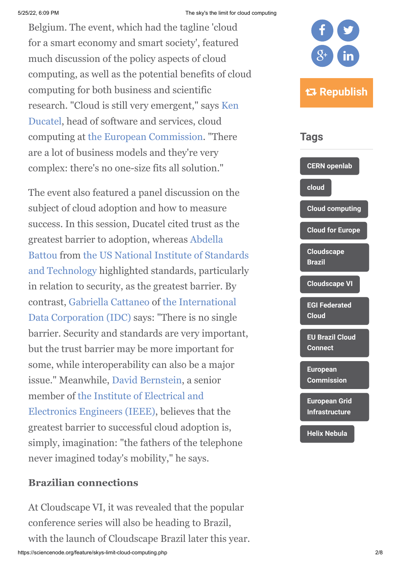### 5/25/22, 6:09 PM The sky's the limit for cloud computing

Belgium. The event, which had the tagline 'cloud for a smart economy and smart society', featured much discussion of the policy aspects of cloud computing, as well as the potential benefits of cloud computing for both business and scientific [research. "Cloud is still very emergent," says Ken](http://www.cloudscapeseries.eu/Content/Speakers.aspx?id=24&Page=3&Cat=0%213) Ducatel, head of software and services, cloud computing at [the European Commission.](http://ec.europa.eu/index_en.htm) "There are a lot of business models and they're very complex: there's no one-size fits all solution."

The event also featured a panel discussion on the subject of cloud adoption and how to measure success. In this session, Ducatel cited trust as the [greatest barrier to adoption, whereas Abdella](http://cloudscapeseries.com/Content/Speakers.aspx?id=344&Page=2&Cat=0%213) [Battou from the US National Institute of Standards](http://www.nist.gov/) and Technology highlighted standards, particularly in relation to security, as the greatest barrier. By contrast, [Gabriella Cattaneo](http://www.cloudscapeseries.eu/Content/Speakers.aspx?id=150&Page=1&Cat=0%213) of the International [Data Corporation \(IDC\) says: "There is no single](http://www.idc.com/) barrier. Security and standards are very important, but the trust barrier may be more important for some, while interoperability can also be a major issue." Meanwhile, [David Bernstein](http://www.cloudscapeseries.eu/Content/Speakers.aspx?id=104), a senior [member of the Institute of Electrical and](file://cern.ch/dfs/Users/a/apurcell/Desktop/Institute%20of%20Electrical%20and%20Electronics%20Engineers) Electronics Engineers (IEEE), believes that the greatest barrier to successful cloud adoption is, simply, imagination: "the fathers of the telephone never imagined today's mobility," he says.

### **Brazilian connections**

At Cloudscape VI, it was revealed that the popular conference series will also be heading to Brazil, with the launch of Cloudscape Brazil later this year.





**[European Grid](https://sciencenode.org/tag/?tag=European%20Grid%20Infrastructure) Infrastructure**

**[Helix Nebula](https://sciencenode.org/tag/?tag=Helix%20Nebula)**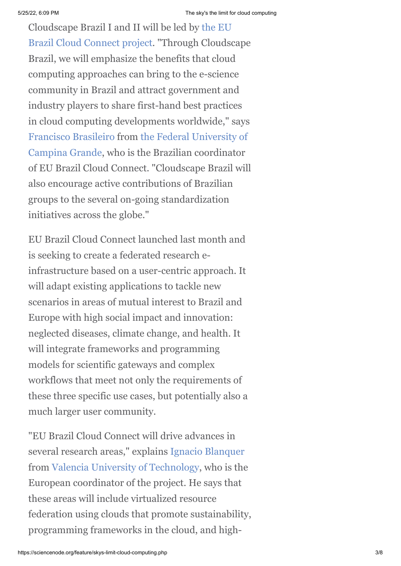Cloudscape Brazil I and II will be led by the EU [Brazil Cloud Connect project. "Through Cloudsc](http://eubrazilcloudconnect.eu/)ape Brazil, we will emphasize the benefits that cloud computing approaches can bring to the e-science community in Brazil and attract government and industry players to share first-hand best practices in cloud computing developments worldwide," says [Francisco Brasileir](http://www.cloudscapeseries.eu/Content/Speakers.aspx?id=350)[o from the Federal University of](http://www.ufcg.edu.br/index1.php) Campina Grande, who is the Brazilian coordinator of EU Brazil Cloud Connect. "Cloudscape Brazil will also encourage active contributions of Brazilian groups to the several on-going standardization initiatives across the globe."

EU Brazil Cloud Connect launched last month and is seeking to create a federated research einfrastructure based on a user-centric approach. It will adapt existing applications to tackle new scenarios in areas of mutual interest to Brazil and Europe with high social impact and innovation: neglected diseases, climate change, and health. It will integrate frameworks and programming models for scientific gateways and complex workflows that meet not only the requirements of these three specific use cases, but potentially also a much larger user community.

"EU Brazil Cloud Connect will drive advances in several research areas," explains [Ignacio Blanquer](http://cloudscapeseries.com/Content/CloudscapeSeries.aspx?id=129&Page=3&Cat=0%2112%216%212) from [Valencia University of Technology,](http://www.upv.es/) who is the European coordinator of the project. He says that these areas will include virtualized resource federation using clouds that promote sustainability, programming frameworks in the cloud, and high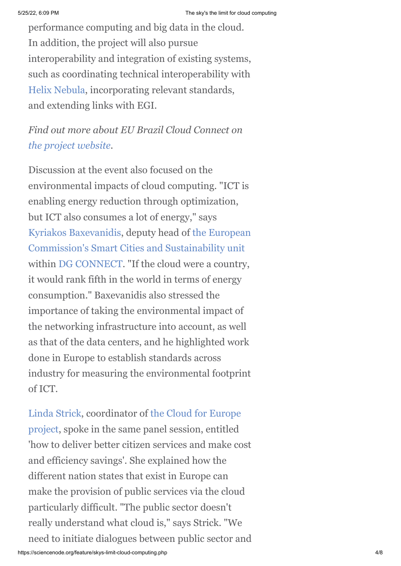performance computing and big data in the cloud. In addition, the project will also pursue interoperability and integration of existing systems, such as coordinating technical interoperability with [Helix Nebula](http://helix-nebula.eu/), incorporating relevant standards, and extending links with EGI.

*Find out more about EU Brazil Cloud Connect on [the project website](http://eubrazilcloudconnect.eu/).*

Discussion at the event also focused on the environmental impacts of cloud computing. "ICT is enabling energy reduction through optimization, but ICT also consumes a lot of energy," says [Kyriakos Baxevanidi](http://www.cloudscapeseries.eu/Content/Speakers.aspx?id=352)[s, deputy head of the European](http://ec.europa.eu/index_en.htm) Commission's [Smart Cities and Sustainability unit](http://ec.europa.eu/information_society/activities/sustainable_growth/cities/index_en.htm) within [DG CONNECT](http://ec.europa.eu/dgs/connect/en/content/dg-connect). "If the cloud were a country, it would rank fifth in the world in terms of energy consumption." Baxevanidis also stressed the importance of taking the environmental impact of the networking infrastructure into account, as well as that of the data centers, and he highlighted work done in Europe to establish standards across industry for measuring the environmental footprint of ICT.

[Linda Strick](http://cloudscapeseries.com/Content/Speakers.aspx?id=396)[, coordinator of the Cloud for Europe](http://www.cloudforeurope.eu/home;jsessionid=E9927F443AFA471C3B0CA078D7856D9A) project, spoke in the same panel session, entitled 'how to deliver better citizen services and make cost and efficiency savings'. She explained how the different nation states that exist in Europe can make the provision of public services via the cloud particularly difficult. "The public sector doesn't really understand what cloud is," says Strick. "We need to initiate dialogues between public sector and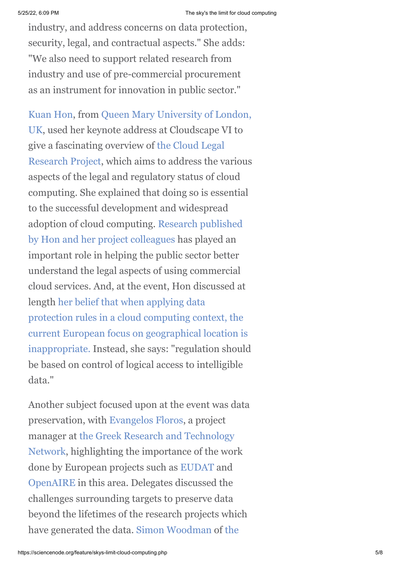industry, and address concerns on data protection, security, legal, and contractual aspects." She adds: "We also need to support related research from industry and use of pre-commercial procurement as an instrument for innovation in public sector."

[Kuan Hon, from Queen Mary University of London,](http://www.qmul.ac.uk/) UK, used her keynote address at Cloudscape VI to give a fascinating overview of the Cloud Legal [Research Project, which aims to address the v](http://www.cloudlegal.ccls.qmul.ac.uk/)arious aspects of the legal and regulatory status of cloud computing. She explained that doing so is essential to the successful development and widespread [adoption of cloud computing. Research published](http://www.cloudlegal.ccls.qmul.ac.uk/Research/index.html) by Hon and her project colleagues has played an important role in helping the public sector better understand the legal aspects of using commercial cloud services. And, at the event, Hon discussed at length her belief that when applying data protection rules in a cloud computing context, the current European focus on geographical location is [inappropriate. Instead, she says: "regulation should](https://www.scl.org/site.aspx?i=ed35439) be based on control of logical access to intelligible data."

Another subject focused upon at the event was data preservation, with [Evangelos Floros,](http://www.cloudscapeseries.eu/Content/Speakers.aspx?id=147&Page=2&Cat=0%213) a project manager at the Greek Research and Technology [Network, highlighting the importance of the wor](https://www.grnet.gr/en)k done by European projects such as [EUDAT](http://www.eudat.eu/) and [OpenAIRE](https://www.openaire.eu/) in this area. Delegates discussed the challenges surrounding targets to preserve data beyond the lifetimes of the research projects which [have generated the data.](http://www.ncl.ac.uk/) [Simon Woodman](http://www.cloudscapeseries.eu/Content/Speakers.aspx?id=379) [of the](http://www.ncl.ac.uk/)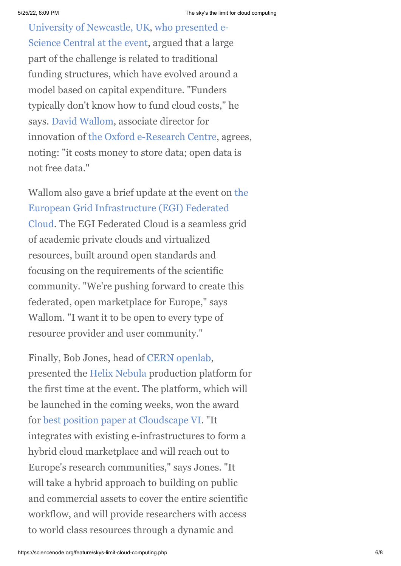[University of Newcastle, UK, who presented e-](http://www.ncl.ac.uk/)Science Central at the event, argued that a large part of the challenge is related to traditional funding structures, which have evolved around a model based on capital expenditure. "Funders typically don't know how to fund cloud costs," he says. [David Wallom,](http://www.cloudscapeseries.eu/Content/Speakers.aspx?id=127&Page=1&Cat=0%213) associate director for innovation of [the Oxford e-Research Centre](http://www.oerc.ox.ac.uk/), agrees, noting: "it costs money to store data; open data is not free data."

[Wallom also gave a brief update at the event on the](http://www.egi.eu/infrastructure/cloud/) European Grid Infrastructure (EGI) Federated Cloud. The EGI Federated Cloud is a seamless grid of academic private clouds and virtualized resources, built around open standards and focusing on the requirements of the scientific community. "We're pushing forward to create this federated, open marketplace for Europe," says Wallom. "I want it to be open to every type of resource provider and user community."

Finally, Bob Jones, head of [CERN openlab](http://openlab.web.cern.ch/), presented the [Helix Nebula](http://www.helix-nebula.eu/) production platform for the first time at the event. The platform, which will be launched in the coming weeks, won the award for [best position paper at Cloudscape VI.](http://admin.cloudscapeseries.eu/Repository/document/PositionPapersCSVI/CloudScapeVI_PositionPapers_web.pdf#page=24) "It integrates with existing e-infrastructures to form a hybrid cloud marketplace and will reach out to Europe's research communities," says Jones. "It will take a hybrid approach to building on public and commercial assets to cover the entire scientific workflow, and will provide researchers with access to world class resources through a dynamic and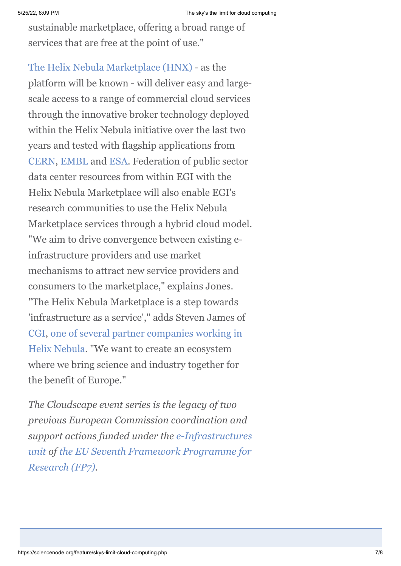sustainable marketplace, offering a broad range of services that are free at the point of use."

[The Helix Nebula Marketplace \(HNX\)](http://hnx.helix-nebula.eu/aboutus.html) - as the platform will be known - will deliver easy and largescale access to a range of commercial cloud services through the innovative broker technology deployed within the Helix Nebula initiative over the last two years and tested with flagship applications from [CERN](http://home.web.cern.ch/), [EMBL](http://www.embl.de/) and [ESA.](http://www.esa.int/ESA) Federation of public sector data center resources from within EGI with the Helix Nebula Marketplace will also enable EGI's research communities to use the Helix Nebula Marketplace services through a hybrid cloud model. "We aim to drive convergence between existing einfrastructure providers and use market mechanisms to attract new service providers and consumers to the marketplace," explains Jones. "The Helix Nebula Marketplace is a step towards 'infrastructure as a service'," adds Steven James of [CGI](http://www.cgi.com/en)[, one of several partner companies working in](http://www.helix-nebula.eu/index.php/about-us/the-partnership.html) Helix Nebula. "We want to create an ecosystem where we bring science and industry together for the benefit of Europe."

*The Cloudscape event series is the legacy of two previous European Commission coordination and [support actions funded under the e-Infrastructures](http://cordis.europa.eu/fp7/ict/e-infrastructure/home_en.html) [unit of the EU Seventh Framework Programme for](http://ec.europa.eu/research/fp7/index_en.cfm) Research (FP7).*